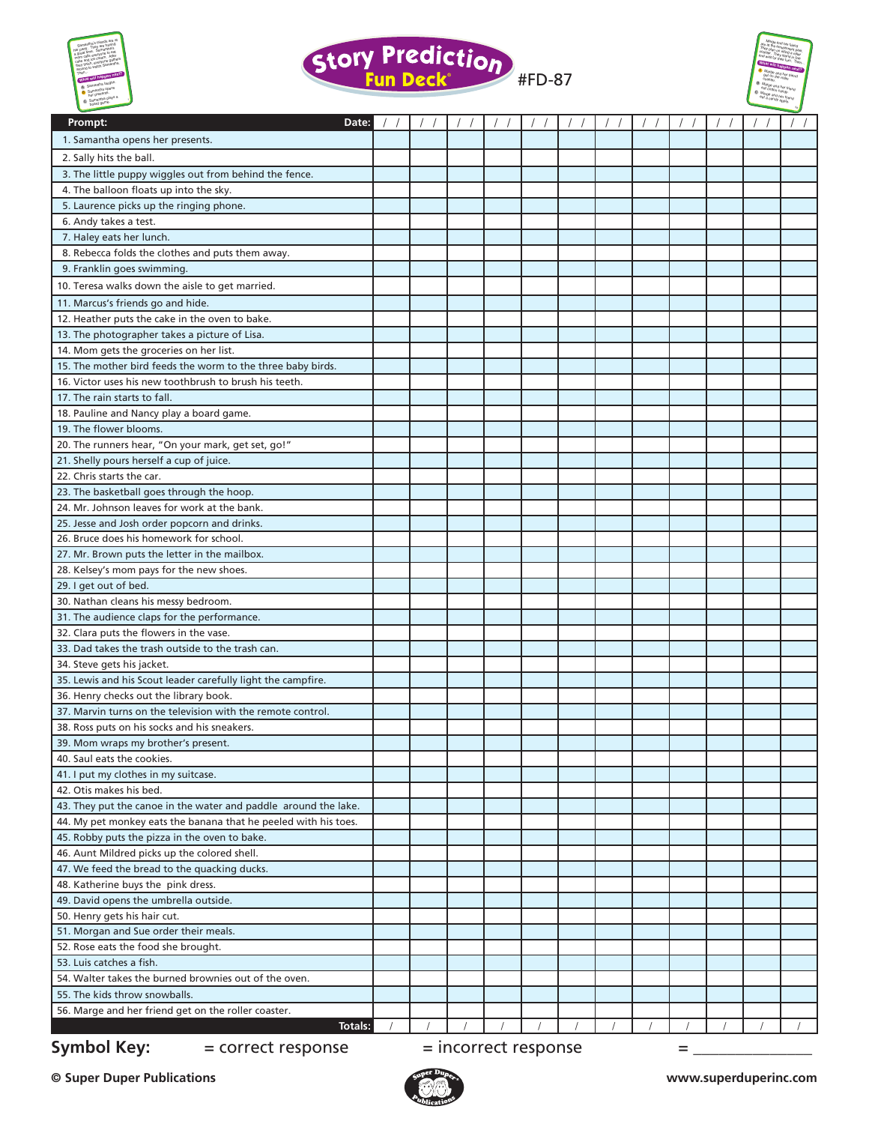





| Prompt:<br>Date:                                                                                                                   |  |                        |  | $\left  \right $ |   |  |  |
|------------------------------------------------------------------------------------------------------------------------------------|--|------------------------|--|------------------|---|--|--|
| 1. Samantha opens her presents.                                                                                                    |  |                        |  |                  |   |  |  |
| 2. Sally hits the ball.                                                                                                            |  |                        |  |                  |   |  |  |
| 3. The little puppy wiggles out from behind the fence.                                                                             |  |                        |  |                  |   |  |  |
| 4. The balloon floats up into the sky.                                                                                             |  |                        |  |                  |   |  |  |
| 5. Laurence picks up the ringing phone.                                                                                            |  |                        |  |                  |   |  |  |
| 6. Andy takes a test.                                                                                                              |  |                        |  |                  |   |  |  |
| 7. Haley eats her lunch.                                                                                                           |  |                        |  |                  |   |  |  |
| 8. Rebecca folds the clothes and puts them away.                                                                                   |  |                        |  |                  |   |  |  |
| 9. Franklin goes swimming.                                                                                                         |  |                        |  |                  |   |  |  |
| 10. Teresa walks down the aisle to get married.                                                                                    |  |                        |  |                  |   |  |  |
| 11. Marcus's friends go and hide.                                                                                                  |  |                        |  |                  |   |  |  |
| 12. Heather puts the cake in the oven to bake.                                                                                     |  |                        |  |                  |   |  |  |
| 13. The photographer takes a picture of Lisa.                                                                                      |  |                        |  |                  |   |  |  |
| 14. Mom gets the groceries on her list.                                                                                            |  |                        |  |                  |   |  |  |
| 15. The mother bird feeds the worm to the three baby birds.                                                                        |  |                        |  |                  |   |  |  |
| 16. Victor uses his new toothbrush to brush his teeth.                                                                             |  |                        |  |                  |   |  |  |
| 17. The rain starts to fall.                                                                                                       |  |                        |  |                  |   |  |  |
| 18. Pauline and Nancy play a board game.                                                                                           |  |                        |  |                  |   |  |  |
| 19. The flower blooms.                                                                                                             |  |                        |  |                  |   |  |  |
| 20. The runners hear, "On your mark, get set, go!"                                                                                 |  |                        |  |                  |   |  |  |
| 21. Shelly pours herself a cup of juice.                                                                                           |  |                        |  |                  |   |  |  |
| 22. Chris starts the car.                                                                                                          |  |                        |  |                  |   |  |  |
| 23. The basketball goes through the hoop.<br>24. Mr. Johnson leaves for work at the bank.                                          |  |                        |  |                  |   |  |  |
| 25. Jesse and Josh order popcorn and drinks.                                                                                       |  |                        |  |                  |   |  |  |
| 26. Bruce does his homework for school.                                                                                            |  |                        |  |                  |   |  |  |
| 27. Mr. Brown puts the letter in the mailbox.                                                                                      |  |                        |  |                  |   |  |  |
| 28. Kelsey's mom pays for the new shoes.                                                                                           |  |                        |  |                  |   |  |  |
| 29. I get out of bed.                                                                                                              |  |                        |  |                  |   |  |  |
| 30. Nathan cleans his messy bedroom.                                                                                               |  |                        |  |                  |   |  |  |
| 31. The audience claps for the performance.                                                                                        |  |                        |  |                  |   |  |  |
| 32. Clara puts the flowers in the vase.                                                                                            |  |                        |  |                  |   |  |  |
| 33. Dad takes the trash outside to the trash can.                                                                                  |  |                        |  |                  |   |  |  |
| 34. Steve gets his jacket.                                                                                                         |  |                        |  |                  |   |  |  |
| 35. Lewis and his Scout leader carefully light the campfire.                                                                       |  |                        |  |                  |   |  |  |
| 36. Henry checks out the library book.                                                                                             |  |                        |  |                  |   |  |  |
| 37. Marvin turns on the television with the remote control.                                                                        |  |                        |  |                  |   |  |  |
| 38. Ross puts on his socks and his sneakers.                                                                                       |  |                        |  |                  |   |  |  |
| 39. Mom wraps my brother's present.                                                                                                |  |                        |  |                  |   |  |  |
| 40. Saul eats the cookies.                                                                                                         |  |                        |  |                  |   |  |  |
| 41. I put my clothes in my suitcase.                                                                                               |  |                        |  |                  |   |  |  |
| 42. Otis makes his bed.                                                                                                            |  |                        |  |                  |   |  |  |
| 43. They put the canoe in the water and paddle around the lake.<br>44. My pet monkey eats the banana that he peeled with his toes. |  |                        |  |                  |   |  |  |
| 45. Robby puts the pizza in the oven to bake.                                                                                      |  |                        |  |                  |   |  |  |
| 46. Aunt Mildred picks up the colored shell.                                                                                       |  |                        |  |                  |   |  |  |
| 47. We feed the bread to the quacking ducks.                                                                                       |  |                        |  |                  |   |  |  |
| 48. Katherine buys the pink dress.                                                                                                 |  |                        |  |                  |   |  |  |
| 49. David opens the umbrella outside.                                                                                              |  |                        |  |                  |   |  |  |
| 50. Henry gets his hair cut.                                                                                                       |  |                        |  |                  |   |  |  |
| 51. Morgan and Sue order their meals.                                                                                              |  |                        |  |                  |   |  |  |
| 52. Rose eats the food she brought.                                                                                                |  |                        |  |                  |   |  |  |
| 53. Luis catches a fish.                                                                                                           |  |                        |  |                  |   |  |  |
| 54. Walter takes the burned brownies out of the oven.                                                                              |  |                        |  |                  |   |  |  |
| 55. The kids throw snowballs.                                                                                                      |  |                        |  |                  |   |  |  |
| 56. Marge and her friend get on the roller coaster.                                                                                |  |                        |  |                  |   |  |  |
| <b>Totals:</b>                                                                                                                     |  |                        |  |                  |   |  |  |
| <b>Symbol Key:</b><br>= correct response                                                                                           |  | $=$ incorrect response |  |                  | = |  |  |